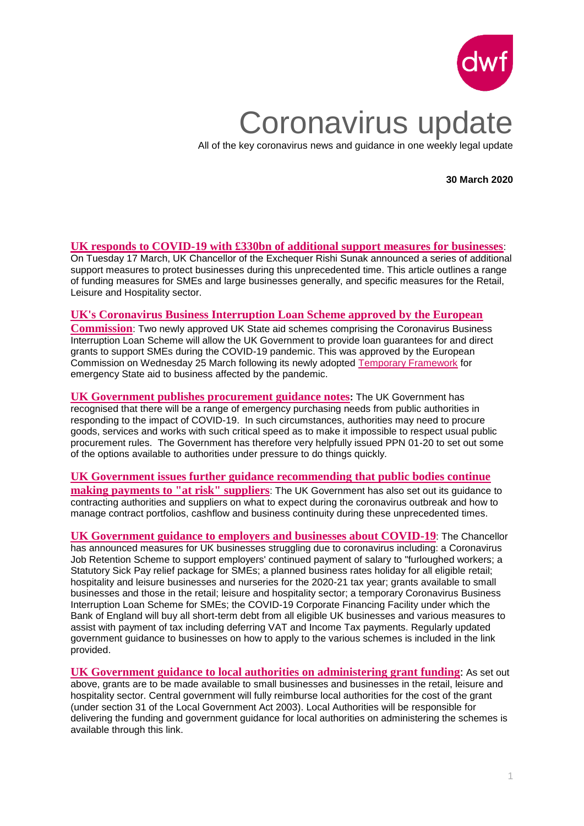

# Coronavirus update

All of the key coronavirus news and guidance in one weekly legal update

**30 March 2020**

## **[UK responds to COVID-19 with £330bn of additional support measures for businesses](https://www.dwf.law/Legal-Insights/2020/March/UK-responds-to-COVID-19-with-330bn-of-additional-support-measures-for-businesses)**:

On Tuesday 17 March, UK Chancellor of the Exchequer Rishi Sunak announced a series of additional support measures to protect businesses during this unprecedented time. This article outlines a range of funding measures for SMEs and large businesses generally, and specific measures for the Retail, Leisure and Hospitality sector.

#### **[UK's Coronavirus Business Interruption Loan Scheme approved by the European](https://www.dwf.law/Legal-Insights/2020/March/Coronavirus-Business-Interruption-Loan-Scheme-approved-by-European-Commission)**

**[Commission](https://www.dwf.law/Legal-Insights/2020/March/Coronavirus-Business-Interruption-Loan-Scheme-approved-by-European-Commission)**: Two newly approved UK State aid schemes comprising the Coronavirus Business Interruption Loan Scheme will allow the UK Government to provide loan guarantees for and direct grants to support SMEs during the COVID-19 pandemic. This was approved by the European Commission on Wednesday 25 March following its newly adopted [Temporary Framework](https://www.dwf.law/Legal-Insights/2020/March/European-Commission-adopts-new-State-aid-exemptions-to-allow-Governments) for emergency State aid to business affected by the pandemic.

**[UK Government publishes procurement guidance notes](https://www.dwf.law/Legal-Insights/2020/March/UK-Government-publishes-procurement-guidance-notes):** The UK Government has recognised that there will be a range of emergency purchasing needs from public authorities in responding to the impact of COVID-19. In such circumstances, authorities may need to procure goods, services and works with such critical speed as to make it impossible to respect usual public procurement rules. The Government has therefore very helpfully issued PPN 01-20 to set out some of the options available to authorities under pressure to do things quickly.

# **[UK Government issues further guidance recommending that public bodies continue](https://www.dwf.law/Legal-Insights/2020/March/UK-Government-issues-guidance-recommending-that-public-bodies-continue-making-payments)**

**[making payments to "at risk"](https://www.dwf.law/Legal-Insights/2020/March/UK-Government-issues-guidance-recommending-that-public-bodies-continue-making-payments) suppliers**: The UK Government has also set out its guidance to contracting authorities and suppliers on what to expect during the coronavirus outbreak and how to manage contract portfolios, cashflow and business continuity during these unprecedented times.

**[UK Government guidance to employers and businesses about COVID-19](https://www.gov.uk/government/publications/guidance-to-employers-and-businesses-about-covid-19/covid-19-support-for-businesses)**: The Chancellor has announced measures for UK businesses struggling due to coronavirus including: a Coronavirus Job Retention Scheme to support employers' continued payment of salary to "furloughed workers; a Statutory Sick Pay relief package for SMEs; a planned business rates holiday for all eligible retail; hospitality and leisure businesses and nurseries for the 2020-21 tax year; grants available to small businesses and those in the retail; leisure and hospitality sector; a temporary Coronavirus Business Interruption Loan Scheme for SMEs; the COVID-19 Corporate Financing Facility under which the Bank of England will buy all short-term debt from all eligible UK businesses and various measures to assist with payment of tax including deferring VAT and Income Tax payments. Regularly updated government guidance to businesses on how to apply to the various schemes is included in the link provided.

**[UK Government guidance to local authorities on administering grant funding](https://www.gov.uk/government/publications/coronavirus-covid-19-guidance-on-business-support-grant-funding)**: As set out above, grants are to be made available to small businesses and businesses in the retail, leisure and hospitality sector. Central government will fully reimburse local authorities for the cost of the grant (under section 31 of the Local Government Act 2003). Local Authorities will be responsible for delivering the funding and government guidance for local authorities on administering the schemes is available through this link.